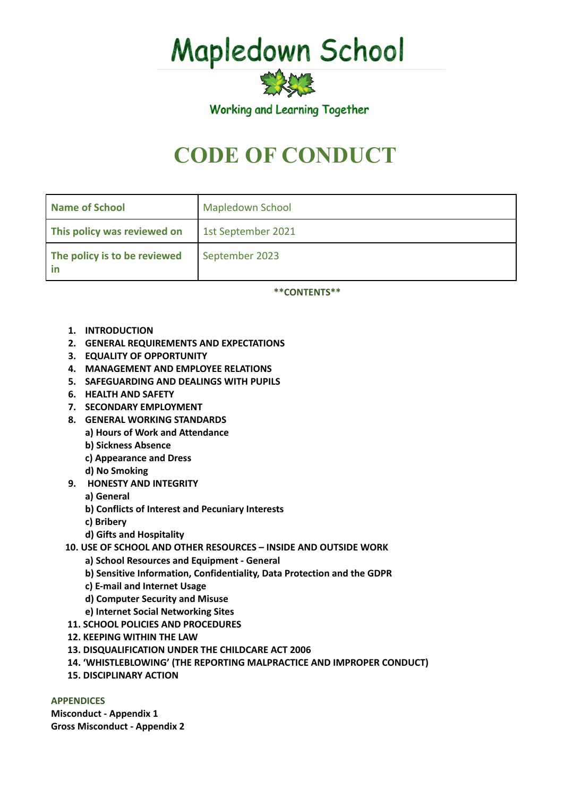Mapledown School

Working and Learning Together

突然

# **CODE OF CONDUCT**

| <b>Name of School</b>        | <b>Mapledown School</b> |
|------------------------------|-------------------------|
| This policy was reviewed on  | 1st September 2021      |
| The policy is to be reviewed | September 2023          |

**\*\*CONTENTS\*\***

- **1. INTRODUCTION**
- **2. GENERAL REQUIREMENTS AND EXPECTATIONS**
- **3. EQUALITY OF OPPORTUNITY**
- **4. MANAGEMENT AND EMPLOYEE RELATIONS**
- **5. SAFEGUARDING AND DEALINGS WITH PUPILS**
- **6. HEALTH AND SAFETY**
- **7. SECONDARY EMPLOYMENT**
- **8. GENERAL WORKING STANDARDS**
	- **a) Hours of Work and Attendance**
	- **b) Sickness Absence**
	- **c) Appearance and Dress**
	- **d) No Smoking**
- **9. HONESTY AND INTEGRITY**
	- **a) General**
	- **b) Conflicts of Interest and Pecuniary Interests**
	- **c) Bribery**
	- **d) Gifts and Hospitality**
- **10. USE OF SCHOOL AND OTHER RESOURCES – INSIDE AND OUTSIDE WORK**
	- **a) School Resources and Equipment - General**
	- **b) Sensitive Information, Confidentiality, Data Protection and the GDPR**
	- **c) E-mail and Internet Usage**
	- **d) Computer Security and Misuse**
	- **e) Internet Social Networking Sites**
- **11. SCHOOL POLICIES AND PROCEDURES**
- **12. KEEPING WITHIN THE LAW**
- **13. DISQUALIFICATION UNDER THE CHILDCARE ACT 2006**
- **14. 'WHISTLEBLOWING' (THE REPORTING MALPRACTICE AND IMPROPER CONDUCT)**
- **15. DISCIPLINARY ACTION**

## **APPENDICES**

**Misconduct - Appendix 1 Gross Misconduct - Appendix 2**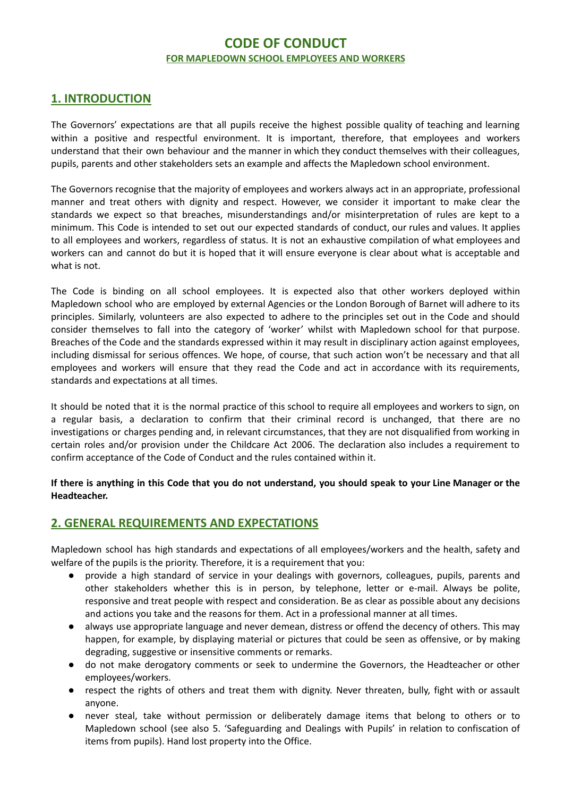# **CODE OF CONDUCT FOR MAPLEDOWN SCHOOL EMPLOYEES AND WORKERS**

# **1. INTRODUCTION**

The Governors' expectations are that all pupils receive the highest possible quality of teaching and learning within a positive and respectful environment. It is important, therefore, that employees and workers understand that their own behaviour and the manner in which they conduct themselves with their colleagues, pupils, parents and other stakeholders sets an example and affects the Mapledown school environment.

The Governors recognise that the majority of employees and workers always act in an appropriate, professional manner and treat others with dignity and respect. However, we consider it important to make clear the standards we expect so that breaches, misunderstandings and/or misinterpretation of rules are kept to a minimum. This Code is intended to set out our expected standards of conduct, our rules and values. It applies to all employees and workers, regardless of status. It is not an exhaustive compilation of what employees and workers can and cannot do but it is hoped that it will ensure everyone is clear about what is acceptable and what is not.

The Code is binding on all school employees. It is expected also that other workers deployed within Mapledown school who are employed by external Agencies or the London Borough of Barnet will adhere to its principles. Similarly, volunteers are also expected to adhere to the principles set out in the Code and should consider themselves to fall into the category of 'worker' whilst with Mapledown school for that purpose. Breaches of the Code and the standards expressed within it may result in disciplinary action against employees, including dismissal for serious offences. We hope, of course, that such action won't be necessary and that all employees and workers will ensure that they read the Code and act in accordance with its requirements, standards and expectations at all times.

It should be noted that it is the normal practice of this school to require all employees and workers to sign, on a regular basis, a declaration to confirm that their criminal record is unchanged, that there are no investigations or charges pending and, in relevant circumstances, that they are not disqualified from working in certain roles and/or provision under the Childcare Act 2006. The declaration also includes a requirement to confirm acceptance of the Code of Conduct and the rules contained within it.

If there is anything in this Code that you do not understand, you should speak to your Line Manager or the **Headteacher.**

# **2. GENERAL REQUIREMENTS AND EXPECTATIONS**

Mapledown school has high standards and expectations of all employees/workers and the health, safety and welfare of the pupils is the priority. Therefore, it is a requirement that you:

- provide a high standard of service in your dealings with governors, colleagues, pupils, parents and other stakeholders whether this is in person, by telephone, letter or e-mail. Always be polite, responsive and treat people with respect and consideration. Be as clear as possible about any decisions and actions you take and the reasons for them. Act in a professional manner at all times.
- always use appropriate language and never demean, distress or offend the decency of others. This may happen, for example, by displaying material or pictures that could be seen as offensive, or by making degrading, suggestive or insensitive comments or remarks.
- do not make derogatory comments or seek to undermine the Governors, the Headteacher or other employees/workers.
- respect the rights of others and treat them with dignity. Never threaten, bully, fight with or assault anyone.
- never steal, take without permission or deliberately damage items that belong to others or to Mapledown school (see also 5. 'Safeguarding and Dealings with Pupils' in relation to confiscation of items from pupils). Hand lost property into the Office.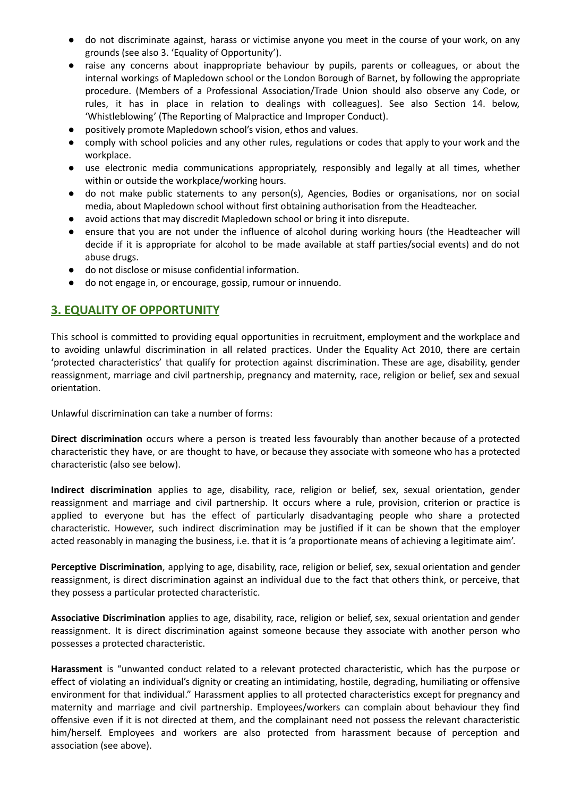- do not discriminate against, harass or victimise anyone you meet in the course of your work, on any grounds (see also 3. 'Equality of Opportunity').
- raise any concerns about inappropriate behaviour by pupils, parents or colleagues, or about the internal workings of Mapledown school or the London Borough of Barnet, by following the appropriate procedure. (Members of a Professional Association/Trade Union should also observe any Code, or rules, it has in place in relation to dealings with colleagues). See also Section 14. below, 'Whistleblowing' (The Reporting of Malpractice and Improper Conduct).
- positively promote Mapledown school's vision, ethos and values.
- comply with school policies and any other rules, regulations or codes that apply to your work and the workplace.
- use electronic media communications appropriately, responsibly and legally at all times, whether within or outside the workplace/working hours.
- do not make public statements to any person(s), Agencies, Bodies or organisations, nor on social media, about Mapledown school without first obtaining authorisation from the Headteacher.
- avoid actions that may discredit Mapledown school or bring it into disrepute.
- ensure that you are not under the influence of alcohol during working hours (the Headteacher will decide if it is appropriate for alcohol to be made available at staff parties/social events) and do not abuse drugs.
- do not disclose or misuse confidential information.
- do not engage in, or encourage, gossip, rumour or innuendo.

# **3. EQUALITY OF OPPORTUNITY**

This school is committed to providing equal opportunities in recruitment, employment and the workplace and to avoiding unlawful discrimination in all related practices. Under the Equality Act 2010, there are certain 'protected characteristics' that qualify for protection against discrimination. These are age, disability, gender reassignment, marriage and civil partnership, pregnancy and maternity, race, religion or belief, sex and sexual orientation.

Unlawful discrimination can take a number of forms:

**Direct discrimination** occurs where a person is treated less favourably than another because of a protected characteristic they have, or are thought to have, or because they associate with someone who has a protected characteristic (also see below).

**Indirect discrimination** applies to age, disability, race, religion or belief, sex, sexual orientation, gender reassignment and marriage and civil partnership. It occurs where a rule, provision, criterion or practice is applied to everyone but has the effect of particularly disadvantaging people who share a protected characteristic. However, such indirect discrimination may be justified if it can be shown that the employer acted reasonably in managing the business, i.e. that it is 'a proportionate means of achieving a legitimate aim'.

**Perceptive Discrimination**, applying to age, disability, race, religion or belief, sex, sexual orientation and gender reassignment, is direct discrimination against an individual due to the fact that others think, or perceive, that they possess a particular protected characteristic.

**Associative Discrimination** applies to age, disability, race, religion or belief, sex, sexual orientation and gender reassignment. It is direct discrimination against someone because they associate with another person who possesses a protected characteristic.

**Harassment** is "unwanted conduct related to a relevant protected characteristic, which has the purpose or effect of violating an individual's dignity or creating an intimidating, hostile, degrading, humiliating or offensive environment for that individual." Harassment applies to all protected characteristics except for pregnancy and maternity and marriage and civil partnership. Employees/workers can complain about behaviour they find offensive even if it is not directed at them, and the complainant need not possess the relevant characteristic him/herself. Employees and workers are also protected from harassment because of perception and association (see above).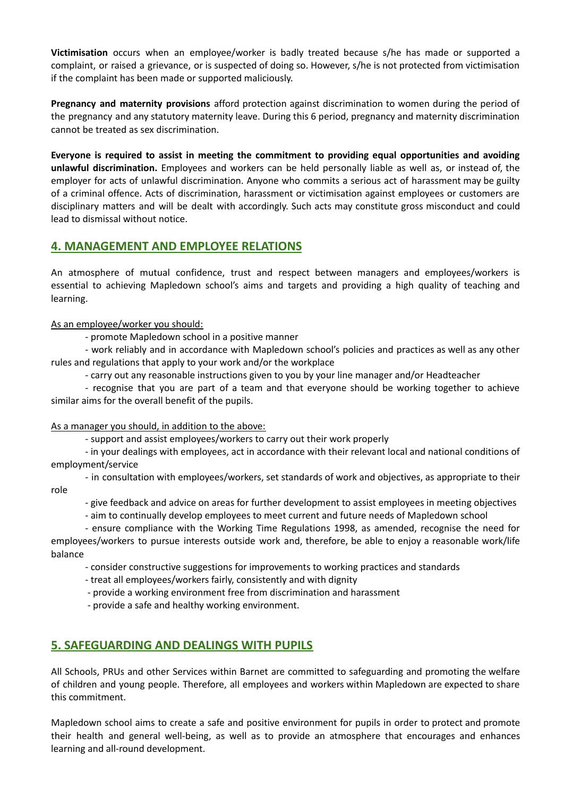**Victimisation** occurs when an employee/worker is badly treated because s/he has made or supported a complaint, or raised a grievance, or is suspected of doing so. However, s/he is not protected from victimisation if the complaint has been made or supported maliciously.

**Pregnancy and maternity provisions** afford protection against discrimination to women during the period of the pregnancy and any statutory maternity leave. During this 6 period, pregnancy and maternity discrimination cannot be treated as sex discrimination.

**Everyone is required to assist in meeting the commitment to providing equal opportunities and avoiding unlawful discrimination.** Employees and workers can be held personally liable as well as, or instead of, the employer for acts of unlawful discrimination. Anyone who commits a serious act of harassment may be guilty of a criminal offence. Acts of discrimination, harassment or victimisation against employees or customers are disciplinary matters and will be dealt with accordingly. Such acts may constitute gross misconduct and could lead to dismissal without notice.

# **4. MANAGEMENT AND EMPLOYEE RELATIONS**

An atmosphere of mutual confidence, trust and respect between managers and employees/workers is essential to achieving Mapledown school's aims and targets and providing a high quality of teaching and learning.

As an employee/worker you should:

- promote Mapledown school in a positive manner

- work reliably and in accordance with Mapledown school's policies and practices as well as any other rules and regulations that apply to your work and/or the workplace

- carry out any reasonable instructions given to you by your line manager and/or Headteacher

- recognise that you are part of a team and that everyone should be working together to achieve similar aims for the overall benefit of the pupils.

## As a manager you should, in addition to the above:

- support and assist employees/workers to carry out their work properly

- in your dealings with employees, act in accordance with their relevant local and national conditions of employment/service

- in consultation with employees/workers, set standards of work and objectives, as appropriate to their role

- give feedback and advice on areas for further development to assist employees in meeting objectives

- aim to continually develop employees to meet current and future needs of Mapledown school

- ensure compliance with the Working Time Regulations 1998, as amended, recognise the need for employees/workers to pursue interests outside work and, therefore, be able to enjoy a reasonable work/life balance

- consider constructive suggestions for improvements to working practices and standards

- treat all employees/workers fairly, consistently and with dignity

- provide a working environment free from discrimination and harassment

- provide a safe and healthy working environment.

# **5. SAFEGUARDING AND DEALINGS WITH PUPILS**

All Schools, PRUs and other Services within Barnet are committed to safeguarding and promoting the welfare of children and young people. Therefore, all employees and workers within Mapledown are expected to share this commitment.

Mapledown school aims to create a safe and positive environment for pupils in order to protect and promote their health and general well-being, as well as to provide an atmosphere that encourages and enhances learning and all-round development.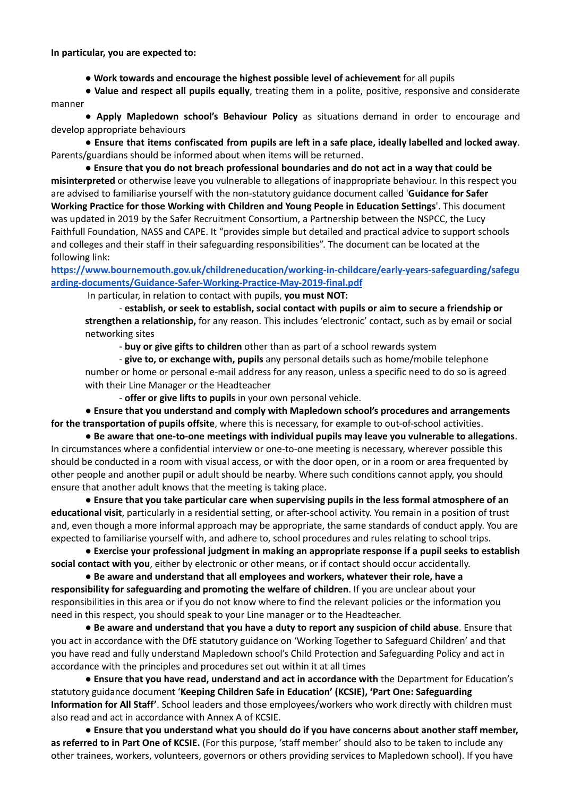**In particular, you are expected to:**

● **Work towards and encourage the highest possible level of achievement** for all pupils

● **Value and respect all pupils equally**, treating them in a polite, positive, responsive and considerate manner

● **Apply Mapledown school's Behaviour Policy** as situations demand in order to encourage and develop appropriate behaviours

● **Ensure that items confiscated from pupils are left in a safe place, ideally labelled and locked away**. Parents/guardians should be informed about when items will be returned.

● **Ensure that you do not breach professional boundaries and do not act in a way that could be misinterpreted** or otherwise leave you vulnerable to allegations of inappropriate behaviour. In this respect you are advised to familiarise yourself with the non-statutory guidance document called '**Guidance for Safer Working Practice for those Working with Children and Young People in Education Settings**'. This document was updated in 2019 by the Safer Recruitment Consortium, a Partnership between the NSPCC, the Lucy Faithfull Foundation, NASS and CAPE. It "provides simple but detailed and practical advice to support schools and colleges and their staff in their safeguarding responsibilities". The document can be located at the following link:

**[https://www.bournemouth.gov.uk/childreneducation/working-in-childcare/early-years-safeguarding/safegu](https://www.bournemouth.gov.uk/childreneducation/working-in-childcare/early-years-safeguarding/safeguarding-documents/Guidance-Safer-Working-Practice-May-2019-final.pdf) [arding-documents/Guidance-Safer-Working-Practice-May-2019-final.pdf](https://www.bournemouth.gov.uk/childreneducation/working-in-childcare/early-years-safeguarding/safeguarding-documents/Guidance-Safer-Working-Practice-May-2019-final.pdf)**

In particular, in relation to contact with pupils, **you must NOT:**

- **establish, or seek to establish, social contact with pupils or aim to secure a friendship or strengthen a relationship,** for any reason. This includes 'electronic' contact, such as by email or social networking sites

- **buy or give gifts to children** other than as part of a school rewards system

- **give to, or exchange with, pupils** any personal details such as home/mobile telephone number or home or personal e-mail address for any reason, unless a specific need to do so is agreed with their Line Manager or the Headteacher

- **offer or give lifts to pupils** in your own personal vehicle.

● **Ensure that you understand and comply with Mapledown school's procedures and arrangements for the transportation of pupils offsite**, where this is necessary, for example to out-of-school activities.

● **Be aware that one-to-one meetings with individual pupils may leave you vulnerable to allegations**. In circumstances where a confidential interview or one-to-one meeting is necessary, wherever possible this should be conducted in a room with visual access, or with the door open, or in a room or area frequented by other people and another pupil or adult should be nearby. Where such conditions cannot apply, you should ensure that another adult knows that the meeting is taking place.

● **Ensure that you take particular care when supervising pupils in the less formal atmosphere of an educational visit**, particularly in a residential setting, or after-school activity. You remain in a position of trust and, even though a more informal approach may be appropriate, the same standards of conduct apply. You are expected to familiarise yourself with, and adhere to, school procedures and rules relating to school trips.

● **Exercise your professional judgment in making an appropriate response if a pupil seeks to establish social contact with you**, either by electronic or other means, or if contact should occur accidentally.

● **Be aware and understand that all employees and workers, whatever their role, have a responsibility for safeguarding and promoting the welfare of children**. If you are unclear about your responsibilities in this area or if you do not know where to find the relevant policies or the information you need in this respect, you should speak to your Line manager or to the Headteacher.

● **Be aware and understand that you have a duty to report any suspicion of child abuse**. Ensure that you act in accordance with the DfE statutory guidance on 'Working Together to Safeguard Children' and that you have read and fully understand Mapledown school's Child Protection and Safeguarding Policy and act in accordance with the principles and procedures set out within it at all times

● **Ensure that you have read, understand and act in accordance with** the Department for Education's statutory guidance document '**Keeping Children Safe in Education' (KCSIE), 'Part One: Safeguarding Information for All Staff'**. School leaders and those employees/workers who work directly with children must also read and act in accordance with Annex A of KCSIE.

● **Ensure that you understand what you should do if you have concerns about another staff member, as referred to in Part One of KCSIE.** (For this purpose, 'staff member' should also to be taken to include any other trainees, workers, volunteers, governors or others providing services to Mapledown school). If you have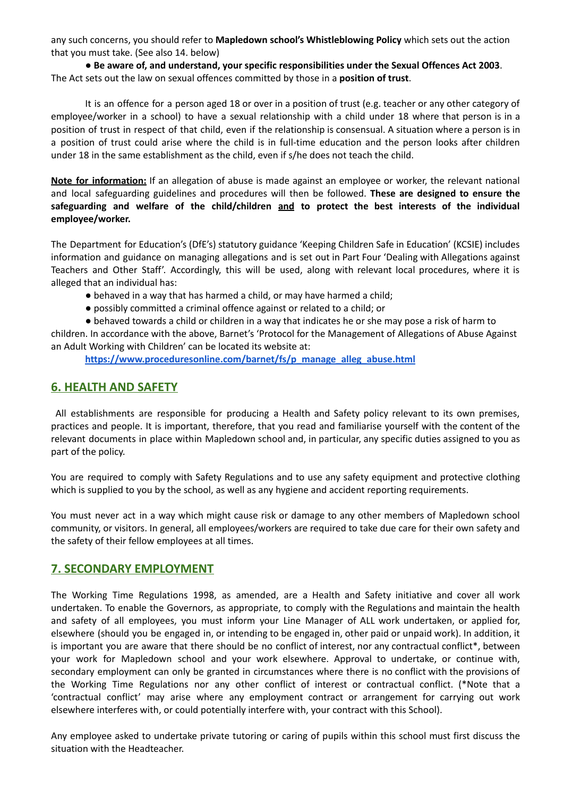any such concerns, you should refer to **Mapledown school's Whistleblowing Policy** which sets out the action that you must take. (See also 14. below)

● **Be aware of, and understand, your specific responsibilities under the Sexual Offences Act 2003**. The Act sets out the law on sexual offences committed by those in a **position of trust**.

It is an offence for a person aged 18 or over in a position of trust (e.g. teacher or any other category of employee/worker in a school) to have a sexual relationship with a child under 18 where that person is in a position of trust in respect of that child, even if the relationship is consensual. A situation where a person is in a position of trust could arise where the child is in full-time education and the person looks after children under 18 in the same establishment as the child, even if s/he does not teach the child.

**Note for information:** If an allegation of abuse is made against an employee or worker, the relevant national and local safeguarding guidelines and procedures will then be followed. **These are designed to ensure the safeguarding and welfare of the child/children and to protect the best interests of the individual employee/worker.**

The Department for Education's (DfE's) statutory guidance 'Keeping Children Safe in Education' (KCSIE) includes information and guidance on managing allegations and is set out in Part Four 'Dealing with Allegations against Teachers and Other Staff'. Accordingly, this will be used, along with relevant local procedures, where it is alleged that an individual has:

- behaved in a way that has harmed a child, or may have harmed a child;
- possibly committed a criminal offence against or related to a child; or
- behaved towards a child or children in a way that indicates he or she may pose a risk of harm to

children. In accordance with the above, Barnet's 'Protocol for the Management of Allegations of Abuse Against an Adult Working with Children' can be located its website at:

**[https://www.proceduresonline.com/barnet/fs/p\\_manage\\_alleg\\_abuse.html](https://www.proceduresonline.com/barnet/fs/p_manage_alleg_abuse.html)**

# **6. HEALTH AND SAFETY**

All establishments are responsible for producing a Health and Safety policy relevant to its own premises, practices and people. It is important, therefore, that you read and familiarise yourself with the content of the relevant documents in place within Mapledown school and, in particular, any specific duties assigned to you as part of the policy.

You are required to comply with Safety Regulations and to use any safety equipment and protective clothing which is supplied to you by the school, as well as any hygiene and accident reporting requirements.

You must never act in a way which might cause risk or damage to any other members of Mapledown school community, or visitors. In general, all employees/workers are required to take due care for their own safety and the safety of their fellow employees at all times.

## **7. SECONDARY EMPLOYMENT**

The Working Time Regulations 1998, as amended, are a Health and Safety initiative and cover all work undertaken. To enable the Governors, as appropriate, to comply with the Regulations and maintain the health and safety of all employees, you must inform your Line Manager of ALL work undertaken, or applied for, elsewhere (should you be engaged in, or intending to be engaged in, other paid or unpaid work). In addition, it is important you are aware that there should be no conflict of interest, nor any contractual conflict\*, between your work for Mapledown school and your work elsewhere. Approval to undertake, or continue with, secondary employment can only be granted in circumstances where there is no conflict with the provisions of the Working Time Regulations nor any other conflict of interest or contractual conflict. (\*Note that a 'contractual conflict' may arise where any employment contract or arrangement for carrying out work elsewhere interferes with, or could potentially interfere with, your contract with this School).

Any employee asked to undertake private tutoring or caring of pupils within this school must first discuss the situation with the Headteacher.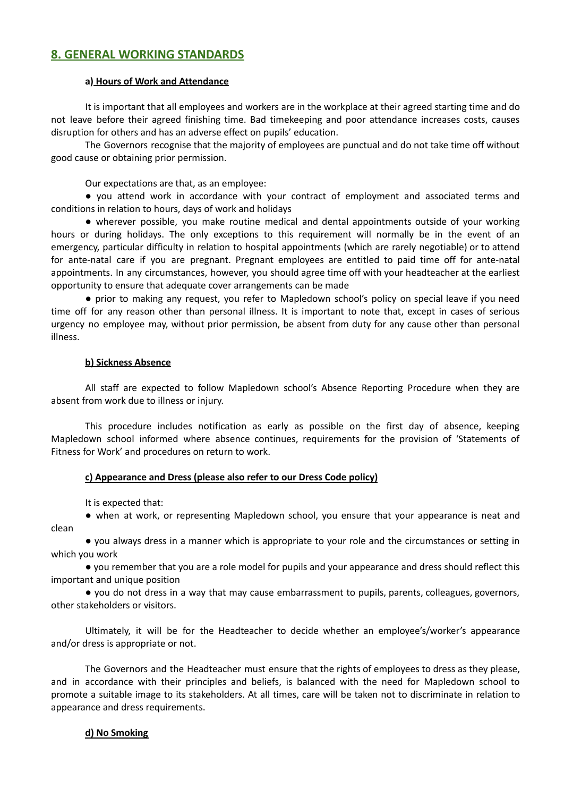# **8. GENERAL WORKING STANDARDS**

#### **a) Hours of Work and Attendance**

It is important that all employees and workers are in the workplace at their agreed starting time and do not leave before their agreed finishing time. Bad timekeeping and poor attendance increases costs, causes disruption for others and has an adverse effect on pupils' education.

The Governors recognise that the majority of employees are punctual and do not take time off without good cause or obtaining prior permission.

Our expectations are that, as an employee:

● you attend work in accordance with your contract of employment and associated terms and conditions in relation to hours, days of work and holidays

● wherever possible, you make routine medical and dental appointments outside of your working hours or during holidays. The only exceptions to this requirement will normally be in the event of an emergency, particular difficulty in relation to hospital appointments (which are rarely negotiable) or to attend for ante-natal care if you are pregnant. Pregnant employees are entitled to paid time off for ante-natal appointments. In any circumstances, however, you should agree time off with your headteacher at the earliest opportunity to ensure that adequate cover arrangements can be made

● prior to making any request, you refer to Mapledown school's policy on special leave if you need time off for any reason other than personal illness. It is important to note that, except in cases of serious urgency no employee may, without prior permission, be absent from duty for any cause other than personal illness.

#### **b) Sickness Absence**

All staff are expected to follow Mapledown school's Absence Reporting Procedure when they are absent from work due to illness or injury.

This procedure includes notification as early as possible on the first day of absence, keeping Mapledown school informed where absence continues, requirements for the provision of 'Statements of Fitness for Work' and procedures on return to work.

#### **c) Appearance and Dress (please also refer to our Dress Code policy)**

It is expected that:

● when at work, or representing Mapledown school, you ensure that your appearance is neat and clean

● you always dress in a manner which is appropriate to your role and the circumstances or setting in which you work

● you remember that you are a role model for pupils and your appearance and dress should reflect this important and unique position

● you do not dress in a way that may cause embarrassment to pupils, parents, colleagues, governors, other stakeholders or visitors.

Ultimately, it will be for the Headteacher to decide whether an employee's/worker's appearance and/or dress is appropriate or not.

The Governors and the Headteacher must ensure that the rights of employees to dress as they please, and in accordance with their principles and beliefs, is balanced with the need for Mapledown school to promote a suitable image to its stakeholders. At all times, care will be taken not to discriminate in relation to appearance and dress requirements.

#### **d) No Smoking**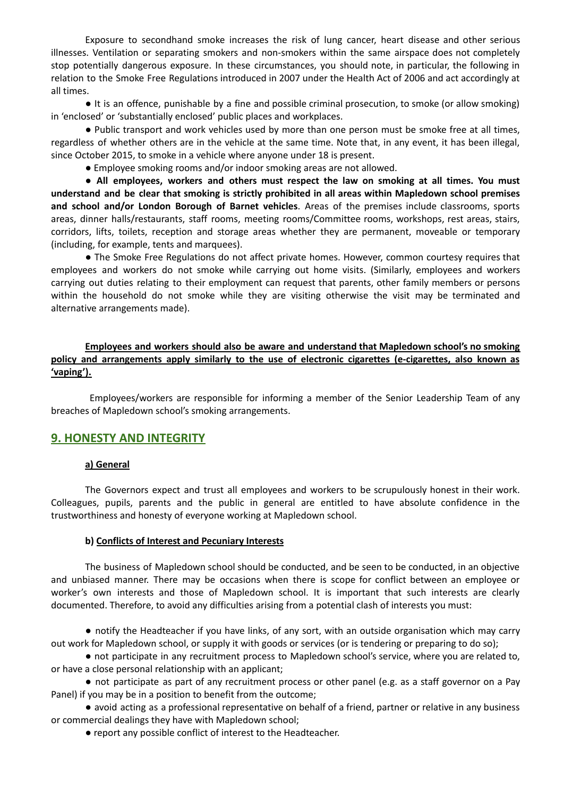Exposure to secondhand smoke increases the risk of lung cancer, heart disease and other serious illnesses. Ventilation or separating smokers and non-smokers within the same airspace does not completely stop potentially dangerous exposure. In these circumstances, you should note, in particular, the following in relation to the Smoke Free Regulations introduced in 2007 under the Health Act of 2006 and act accordingly at all times.

● It is an offence, punishable by a fine and possible criminal prosecution, to smoke (or allow smoking) in 'enclosed' or 'substantially enclosed' public places and workplaces.

● Public transport and work vehicles used by more than one person must be smoke free at all times, regardless of whether others are in the vehicle at the same time. Note that, in any event, it has been illegal, since October 2015, to smoke in a vehicle where anyone under 18 is present.

● Employee smoking rooms and/or indoor smoking areas are not allowed.

● **All employees, workers and others must respect the law on smoking at all times. You must understand and be clear that smoking is strictly prohibited in all areas within Mapledown school premises and school and/or London Borough of Barnet vehicles**. Areas of the premises include classrooms, sports areas, dinner halls/restaurants, staff rooms, meeting rooms/Committee rooms, workshops, rest areas, stairs, corridors, lifts, toilets, reception and storage areas whether they are permanent, moveable or temporary (including, for example, tents and marquees).

● The Smoke Free Regulations do not affect private homes. However, common courtesy requires that employees and workers do not smoke while carrying out home visits. (Similarly, employees and workers carrying out duties relating to their employment can request that parents, other family members or persons within the household do not smoke while they are visiting otherwise the visit may be terminated and alternative arrangements made).

## **Employees and workers should also be aware and understand that Mapledown school's no smoking policy and arrangements apply similarly to the use of electronic cigarettes (e-cigarettes, also known as 'vaping').**

Employees/workers are responsible for informing a member of the Senior Leadership Team of any breaches of Mapledown school's smoking arrangements.

## **9. HONESTY AND INTEGRITY**

#### **a) General**

The Governors expect and trust all employees and workers to be scrupulously honest in their work. Colleagues, pupils, parents and the public in general are entitled to have absolute confidence in the trustworthiness and honesty of everyone working at Mapledown school.

#### **b) Conflicts of Interest and Pecuniary Interests**

The business of Mapledown school should be conducted, and be seen to be conducted, in an objective and unbiased manner. There may be occasions when there is scope for conflict between an employee or worker's own interests and those of Mapledown school. It is important that such interests are clearly documented. Therefore, to avoid any difficulties arising from a potential clash of interests you must:

● notify the Headteacher if you have links, of any sort, with an outside organisation which may carry out work for Mapledown school, or supply it with goods or services (or is tendering or preparing to do so);

● not participate in any recruitment process to Mapledown school's service, where you are related to, or have a close personal relationship with an applicant;

● not participate as part of any recruitment process or other panel (e.g. as a staff governor on a Pay Panel) if you may be in a position to benefit from the outcome;

● avoid acting as a professional representative on behalf of a friend, partner or relative in any business or commercial dealings they have with Mapledown school;

● report any possible conflict of interest to the Headteacher.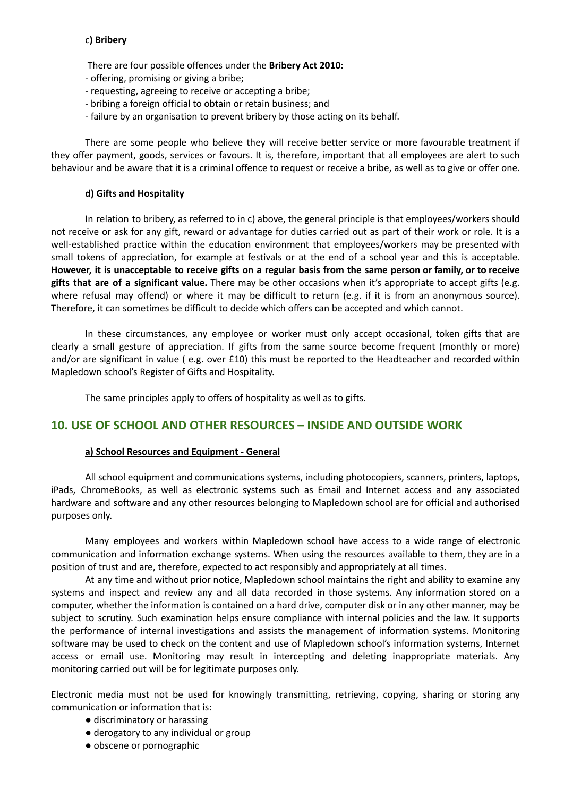#### c**) Bribery**

- There are four possible offences under the **Bribery Act 2010:**
- offering, promising or giving a bribe;
- requesting, agreeing to receive or accepting a bribe;
- bribing a foreign official to obtain or retain business; and
- failure by an organisation to prevent bribery by those acting on its behalf.

There are some people who believe they will receive better service or more favourable treatment if they offer payment, goods, services or favours. It is, therefore, important that all employees are alert to such behaviour and be aware that it is a criminal offence to request or receive a bribe, as well as to give or offer one.

#### **d) Gifts and Hospitality**

In relation to bribery, as referred to in c) above, the general principle is that employees/workers should not receive or ask for any gift, reward or advantage for duties carried out as part of their work or role. It is a well-established practice within the education environment that employees/workers may be presented with small tokens of appreciation, for example at festivals or at the end of a school year and this is acceptable. However, it is unacceptable to receive gifts on a regular basis from the same person or family, or to receive **gifts that are of a significant value.** There may be other occasions when it's appropriate to accept gifts (e.g. where refusal may offend) or where it may be difficult to return (e.g. if it is from an anonymous source). Therefore, it can sometimes be difficult to decide which offers can be accepted and which cannot.

In these circumstances, any employee or worker must only accept occasional, token gifts that are clearly a small gesture of appreciation. If gifts from the same source become frequent (monthly or more) and/or are significant in value ( e.g. over £10) this must be reported to the Headteacher and recorded within Mapledown school's Register of Gifts and Hospitality.

The same principles apply to offers of hospitality as well as to gifts.

## **10. USE OF SCHOOL AND OTHER RESOURCES – INSIDE AND OUTSIDE WORK**

#### **a) School Resources and Equipment - General**

All school equipment and communications systems, including photocopiers, scanners, printers, laptops, iPads, ChromeBooks, as well as electronic systems such as Email and Internet access and any associated hardware and software and any other resources belonging to Mapledown school are for official and authorised purposes only.

Many employees and workers within Mapledown school have access to a wide range of electronic communication and information exchange systems. When using the resources available to them, they are in a position of trust and are, therefore, expected to act responsibly and appropriately at all times.

At any time and without prior notice, Mapledown school maintains the right and ability to examine any systems and inspect and review any and all data recorded in those systems. Any information stored on a computer, whether the information is contained on a hard drive, computer disk or in any other manner, may be subject to scrutiny. Such examination helps ensure compliance with internal policies and the law. It supports the performance of internal investigations and assists the management of information systems. Monitoring software may be used to check on the content and use of Mapledown school's information systems, Internet access or email use. Monitoring may result in intercepting and deleting inappropriate materials. Any monitoring carried out will be for legitimate purposes only.

Electronic media must not be used for knowingly transmitting, retrieving, copying, sharing or storing any communication or information that is:

- discriminatory or harassing
- derogatory to any individual or group
- obscene or pornographic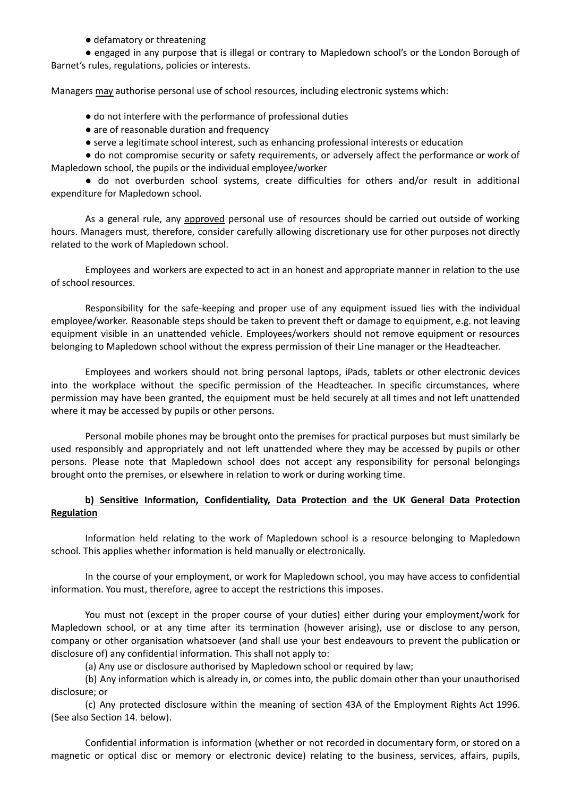#### ● defamatory or threatening

● engaged in any purpose that is illegal or contrary to Mapledown school's or the London Borough of Barnet's rules, regulations, policies or interests.

Managers may authorise personal use of school resources, including electronic systems which:

- do not interfere with the performance of professional duties
- are of reasonable duration and frequency
- serve a legitimate school interest, such as enhancing professional interests or education

● do not compromise security or safety requirements, or adversely affect the performance or work of Mapledown school, the pupils or the individual employee/worker

● do not overburden school systems, create difficulties for others and/or result in additional expenditure for Mapledown school.

As a general rule, any approved personal use of resources should be carried out outside of working hours. Managers must, therefore, consider carefully allowing discretionary use for other purposes not directly related to the work of Mapledown school.

Employees and workers are expected to act in an honest and appropriate manner in relation to the use of school resources.

Responsibility for the safe-keeping and proper use of any equipment issued lies with the individual employee/worker. Reasonable steps should be taken to prevent theft or damage to equipment, e.g. not leaving equipment visible in an unattended vehicle. Employees/workers should not remove equipment or resources belonging to Mapledown school without the express permission of their Line manager or the Headteacher.

Employees and workers should not bring personal laptops, iPads, tablets or other electronic devices into the workplace without the specific permission of the Headteacher. In specific circumstances, where permission may have been granted, the equipment must be held securely at all times and not left unattended where it may be accessed by pupils or other persons.

Personal mobile phones may be brought onto the premises for practical purposes but must similarly be used responsibly and appropriately and not left unattended where they may be accessed by pupils or other persons. Please note that Mapledown school does not accept any responsibility for personal belongings brought onto the premises, or elsewhere in relation to work or during working time.

## **b) Sensitive Information, Confidentiality, Data Protection and the UK General Data Protection Regulation**

Information held relating to the work of Mapledown school is a resource belonging to Mapledown school. This applies whether information is held manually or electronically.

In the course of your employment, or work for Mapledown school, you may have access to confidential information. You must, therefore, agree to accept the restrictions this imposes.

You must not (except in the proper course of your duties) either during your employment/work for Mapledown school, or at any time after its termination (however arising), use or disclose to any person, company or other organisation whatsoever (and shall use your best endeavours to prevent the publication or disclosure of) any confidential information. This shall not apply to:

(a) Any use or disclosure authorised by Mapledown school or required by law;

(b) Any information which is already in, or comes into, the public domain other than your unauthorised disclosure; or

(c) Any protected disclosure within the meaning of section 43A of the Employment Rights Act 1996. (See also Section 14. below).

Confidential information is information (whether or not recorded in documentary form, or stored on a magnetic or optical disc or memory or electronic device) relating to the business, services, affairs, pupils,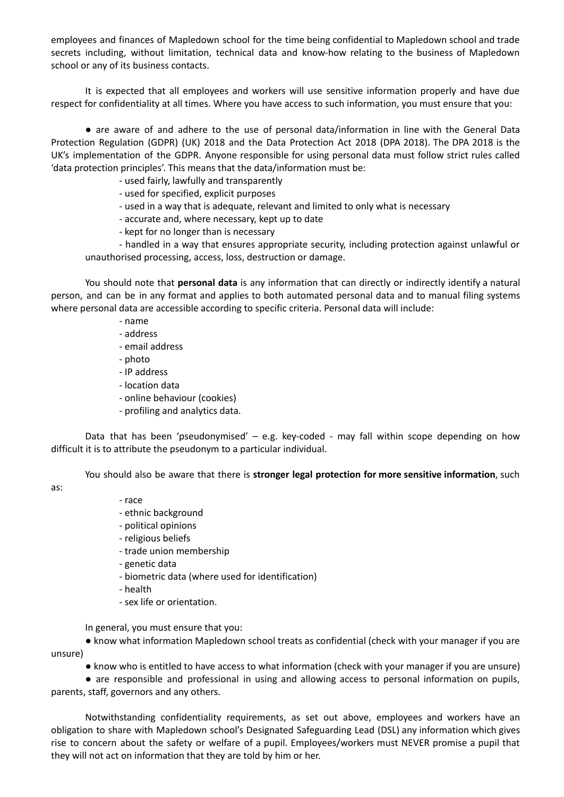employees and finances of Mapledown school for the time being confidential to Mapledown school and trade secrets including, without limitation, technical data and know-how relating to the business of Mapledown school or any of its business contacts.

It is expected that all employees and workers will use sensitive information properly and have due respect for confidentiality at all times. Where you have access to such information, you must ensure that you:

● are aware of and adhere to the use of personal data/information in line with the General Data Protection Regulation (GDPR) (UK) 2018 and the Data Protection Act 2018 (DPA 2018). The DPA 2018 is the UK's implementation of the GDPR. Anyone responsible for using personal data must follow strict rules called 'data protection principles'. This means that the data/information must be:

- used fairly, lawfully and transparently

- used for specified, explicit purposes

- used in a way that is adequate, relevant and limited to only what is necessary

- accurate and, where necessary, kept up to date

- kept for no longer than is necessary

- handled in a way that ensures appropriate security, including protection against unlawful or unauthorised processing, access, loss, destruction or damage.

You should note that **personal data** is any information that can directly or indirectly identify a natural person, and can be in any format and applies to both automated personal data and to manual filing systems where personal data are accessible according to specific criteria. Personal data will include:

- name

- address
- email address
- photo
- IP address
- location data
- online behaviour (cookies)
- profiling and analytics data.

Data that has been 'pseudonymised' - e.g. key-coded - may fall within scope depending on how difficult it is to attribute the pseudonym to a particular individual.

You should also be aware that there is **stronger legal protection for more sensitive information**, such

as:

#### - race

- ethnic background
- political opinions
- religious beliefs
- trade union membership
- genetic data
- biometric data (where used for identification)
- health
- sex life or orientation.

In general, you must ensure that you:

● know what information Mapledown school treats as confidential (check with your manager if you are unsure)

● know who is entitled to have access to what information (check with your manager if you are unsure)

● are responsible and professional in using and allowing access to personal information on pupils,

parents, staff, governors and any others.

Notwithstanding confidentiality requirements, as set out above, employees and workers have an obligation to share with Mapledown school's Designated Safeguarding Lead (DSL) any information which gives rise to concern about the safety or welfare of a pupil. Employees/workers must NEVER promise a pupil that they will not act on information that they are told by him or her.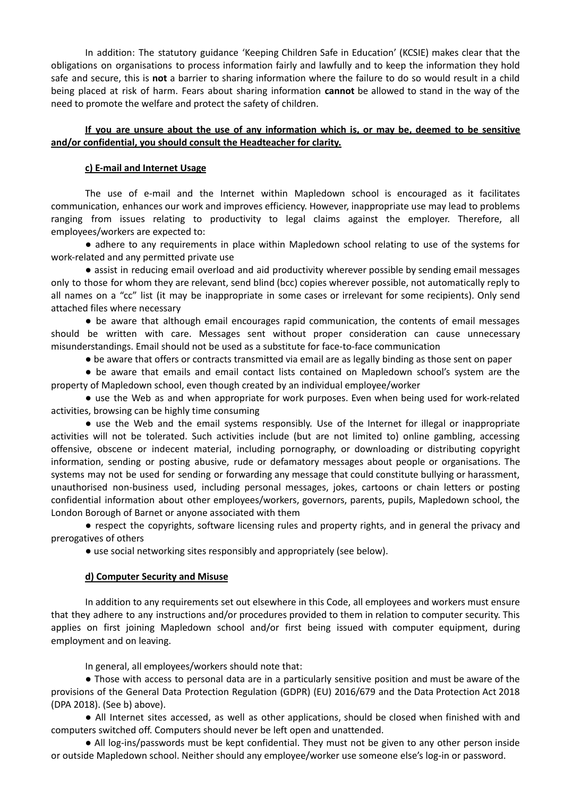In addition: The statutory guidance 'Keeping Children Safe in Education' (KCSIE) makes clear that the obligations on organisations to process information fairly and lawfully and to keep the information they hold safe and secure, this is **not** a barrier to sharing information where the failure to do so would result in a child being placed at risk of harm. Fears about sharing information **cannot** be allowed to stand in the way of the need to promote the welfare and protect the safety of children.

#### If you are unsure about the use of any information which is, or may be, deemed to be sensitive **and/or confidential, you should consult the Headteacher for clarity.**

#### **c) E-mail and Internet Usage**

The use of e-mail and the Internet within Mapledown school is encouraged as it facilitates communication, enhances our work and improves efficiency. However, inappropriate use may lead to problems ranging from issues relating to productivity to legal claims against the employer. Therefore, all employees/workers are expected to:

● adhere to any requirements in place within Mapledown school relating to use of the systems for work-related and any permitted private use

● assist in reducing email overload and aid productivity wherever possible by sending email messages only to those for whom they are relevant, send blind (bcc) copies wherever possible, not automatically reply to all names on a "cc" list (it may be inappropriate in some cases or irrelevant for some recipients). Only send attached files where necessary

● be aware that although email encourages rapid communication, the contents of email messages should be written with care. Messages sent without proper consideration can cause unnecessary misunderstandings. Email should not be used as a substitute for face-to-face communication

● be aware that offers or contracts transmitted via email are as legally binding as those sent on paper

● be aware that emails and email contact lists contained on Mapledown school's system are the property of Mapledown school, even though created by an individual employee/worker

• use the Web as and when appropriate for work purposes. Even when being used for work-related activities, browsing can be highly time consuming

● use the Web and the email systems responsibly. Use of the Internet for illegal or inappropriate activities will not be tolerated. Such activities include (but are not limited to) online gambling, accessing offensive, obscene or indecent material, including pornography, or downloading or distributing copyright information, sending or posting abusive, rude or defamatory messages about people or organisations. The systems may not be used for sending or forwarding any message that could constitute bullying or harassment, unauthorised non-business used, including personal messages, jokes, cartoons or chain letters or posting confidential information about other employees/workers, governors, parents, pupils, Mapledown school, the London Borough of Barnet or anyone associated with them

● respect the copyrights, software licensing rules and property rights, and in general the privacy and prerogatives of others

● use social networking sites responsibly and appropriately (see below).

## **d) Computer Security and Misuse**

In addition to any requirements set out elsewhere in this Code, all employees and workers must ensure that they adhere to any instructions and/or procedures provided to them in relation to computer security. This applies on first joining Mapledown school and/or first being issued with computer equipment, during employment and on leaving.

In general, all employees/workers should note that:

● Those with access to personal data are in a particularly sensitive position and must be aware of the provisions of the General Data Protection Regulation (GDPR) (EU) 2016/679 and the Data Protection Act 2018 (DPA 2018). (See b) above).

● All Internet sites accessed, as well as other applications, should be closed when finished with and computers switched off. Computers should never be left open and unattended.

● All log-ins/passwords must be kept confidential. They must not be given to any other person inside or outside Mapledown school. Neither should any employee/worker use someone else's log-in or password.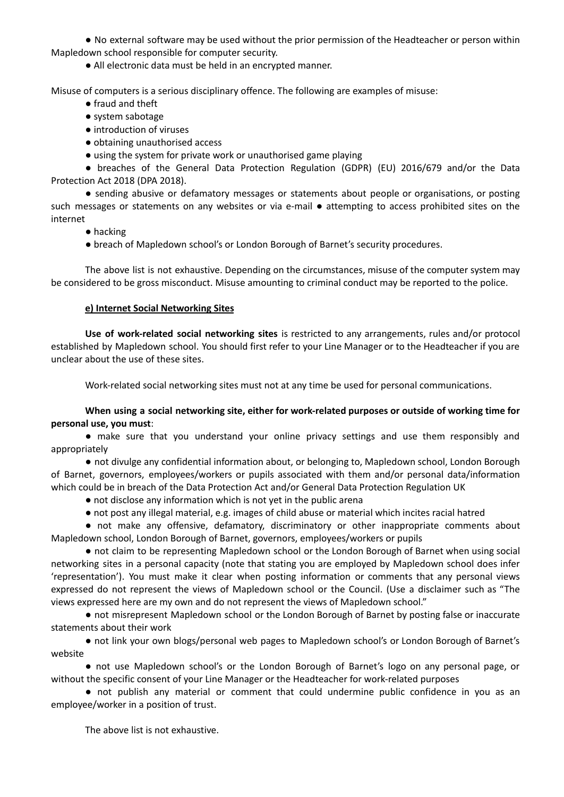● No external software may be used without the prior permission of the Headteacher or person within Mapledown school responsible for computer security.

● All electronic data must be held in an encrypted manner.

Misuse of computers is a serious disciplinary offence. The following are examples of misuse:

- fraud and theft
- system sabotage
- introduction of viruses
- obtaining unauthorised access
- using the system for private work or unauthorised game playing

● breaches of the General Data Protection Regulation (GDPR) (EU) 2016/679 and/or the Data Protection Act 2018 (DPA 2018).

● sending abusive or defamatory messages or statements about people or organisations, or posting such messages or statements on any websites or via e-mail ● attempting to access prohibited sites on the internet

- hacking
- breach of Mapledown school's or London Borough of Barnet's security procedures.

The above list is not exhaustive. Depending on the circumstances, misuse of the computer system may be considered to be gross misconduct. Misuse amounting to criminal conduct may be reported to the police.

#### **e) Internet Social Networking Sites**

**Use of work-related social networking sites** is restricted to any arrangements, rules and/or protocol established by Mapledown school. You should first refer to your Line Manager or to the Headteacher if you are unclear about the use of these sites.

Work-related social networking sites must not at any time be used for personal communications.

**When using a social networking site, either for work-related purposes or outside of working time for personal use, you must**:

● make sure that you understand your online privacy settings and use them responsibly and appropriately

● not divulge any confidential information about, or belonging to, Mapledown school, London Borough of Barnet, governors, employees/workers or pupils associated with them and/or personal data/information which could be in breach of the Data Protection Act and/or General Data Protection Regulation UK

- not disclose any information which is not yet in the public arena
- not post any illegal material, e.g. images of child abuse or material which incites racial hatred

● not make any offensive, defamatory, discriminatory or other inappropriate comments about Mapledown school, London Borough of Barnet, governors, employees/workers or pupils

● not claim to be representing Mapledown school or the London Borough of Barnet when using social networking sites in a personal capacity (note that stating you are employed by Mapledown school does infer 'representation'). You must make it clear when posting information or comments that any personal views expressed do not represent the views of Mapledown school or the Council. (Use a disclaimer such as "The views expressed here are my own and do not represent the views of Mapledown school."

● not misrepresent Mapledown school or the London Borough of Barnet by posting false or inaccurate statements about their work

● not link your own blogs/personal web pages to Mapledown school's or London Borough of Barnet's website

● not use Mapledown school's or the London Borough of Barnet's logo on any personal page, or without the specific consent of your Line Manager or the Headteacher for work-related purposes

● not publish any material or comment that could undermine public confidence in you as an employee/worker in a position of trust.

The above list is not exhaustive.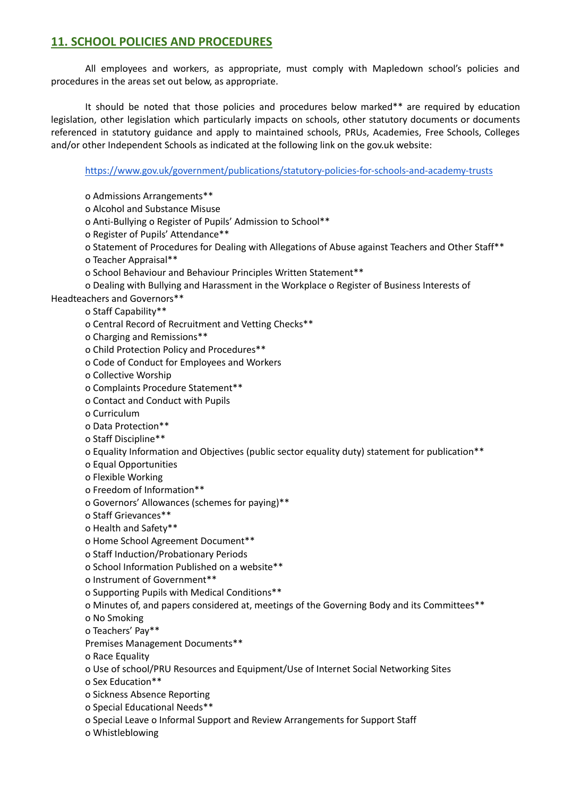# **11. SCHOOL POLICIES AND PROCEDURES**

All employees and workers, as appropriate, must comply with Mapledown school's policies and procedures in the areas set out below, as appropriate.

It should be noted that those policies and procedures below marked\*\* are required by education legislation, other legislation which particularly impacts on schools, other statutory documents or documents referenced in statutory guidance and apply to maintained schools, PRUs, Academies, Free Schools, Colleges and/or other Independent Schools as indicated at the following link on the gov.uk website:

<https://www.gov.uk/government/publications/statutory-policies-for-schools-and-academy-trusts>

o Admissions Arrangements\*\*

o Alcohol and Substance Misuse

o Anti-Bullying o Register of Pupils' Admission to School\*\*

o Register of Pupils' Attendance\*\*

o Statement of Procedures for Dealing with Allegations of Abuse against Teachers and Other Staff\*\*

o Teacher Appraisal\*\*

o School Behaviour and Behaviour Principles Written Statement\*\*

o Dealing with Bullying and Harassment in the Workplace o Register of Business Interests of

Headteachers and Governors\*\*

o Staff Capability\*\*

o Central Record of Recruitment and Vetting Checks\*\*

o Charging and Remissions\*\*

o Child Protection Policy and Procedures\*\*

o Code of Conduct for Employees and Workers

o Collective Worship

o Complaints Procedure Statement\*\*

o Contact and Conduct with Pupils

o Curriculum

o Data Protection\*\*

o Staff Discipline\*\*

o Equality Information and Objectives (public sector equality duty) statement for publication\*\*

o Equal Opportunities

o Flexible Working

o Freedom of Information\*\*

o Governors' Allowances (schemes for paying)\*\*

o Staff Grievances\*\*

o Health and Safety\*\*

o Home School Agreement Document\*\*

o Staff Induction/Probationary Periods

o School Information Published on a website\*\*

o Instrument of Government\*\*

o Supporting Pupils with Medical Conditions\*\*

o Minutes of, and papers considered at, meetings of the Governing Body and its Committees\*\*

o No Smoking

o Teachers' Pay\*\*

Premises Management Documents\*\*

o Race Equality

o Use of school/PRU Resources and Equipment/Use of Internet Social Networking Sites

o Sex Education\*\*

o Sickness Absence Reporting

o Special Educational Needs\*\*

o Special Leave o Informal Support and Review Arrangements for Support Staff

o Whistleblowing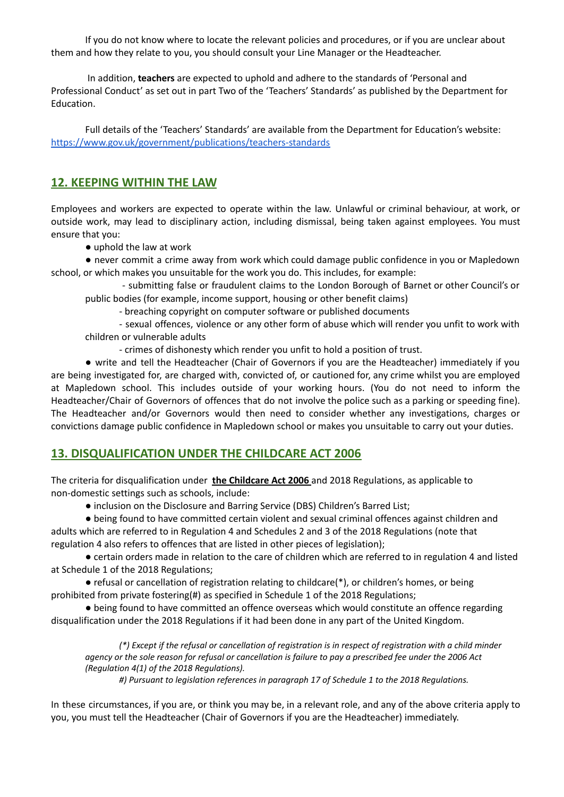If you do not know where to locate the relevant policies and procedures, or if you are unclear about them and how they relate to you, you should consult your Line Manager or the Headteacher.

In addition, **teachers** are expected to uphold and adhere to the standards of 'Personal and Professional Conduct' as set out in part Two of the 'Teachers' Standards' as published by the Department for Education.

Full details of the 'Teachers' Standards' are available from the Department for Education's website: <https://www.gov.uk/government/publications/teachers-standards>

# **12. KEEPING WITHIN THE LAW**

Employees and workers are expected to operate within the law. Unlawful or criminal behaviour, at work, or outside work, may lead to disciplinary action, including dismissal, being taken against employees. You must ensure that you:

● uphold the law at work

● never commit a crime away from work which could damage public confidence in you or Mapledown school, or which makes you unsuitable for the work you do. This includes, for example:

- submitting false or fraudulent claims to the London Borough of Barnet or other Council's or public bodies (for example, income support, housing or other benefit claims)

- breaching copyright on computer software or published documents

- sexual offences, violence or any other form of abuse which will render you unfit to work with children or vulnerable adults

- crimes of dishonesty which render you unfit to hold a position of trust.

● write and tell the Headteacher (Chair of Governors if you are the Headteacher) immediately if you are being investigated for, are charged with, convicted of, or cautioned for, any crime whilst you are employed at Mapledown school. This includes outside of your working hours. (You do not need to inform the Headteacher/Chair of Governors of offences that do not involve the police such as a parking or speeding fine). The Headteacher and/or Governors would then need to consider whether any investigations, charges or convictions damage public confidence in Mapledown school or makes you unsuitable to carry out your duties.

# **13. DISQUALIFICATION UNDER THE CHILDCARE ACT 2006**

The criteria for disqualification under **the Childcare Act 2006** and 2018 Regulations, as applicable to non-domestic settings such as schools, include:

● inclusion on the Disclosure and Barring Service (DBS) Children's Barred List;

● being found to have committed certain violent and sexual criminal offences against children and

adults which are referred to in Regulation 4 and Schedules 2 and 3 of the 2018 Regulations (note that regulation 4 also refers to offences that are listed in other pieces of legislation);

● certain orders made in relation to the care of children which are referred to in regulation 4 and listed at Schedule 1 of the 2018 Regulations;

● refusal or cancellation of registration relating to childcare(\*), or children's homes, or being prohibited from private fostering(#) as specified in Schedule 1 of the 2018 Regulations;

● being found to have committed an offence overseas which would constitute an offence regarding disqualification under the 2018 Regulations if it had been done in any part of the United Kingdom.

(\*) Except if the refusal or cancellation of registration is in respect of registration with a child minder agency or the sole reason for refusal or cancellation is failure to pay a prescribed fee under the 2006 Act *(Regulation 4(1) of the 2018 Regulations).*

*#) Pursuant to legislation references in paragraph 17 of Schedule 1 to the 2018 Regulations.*

In these circumstances, if you are, or think you may be, in a relevant role, and any of the above criteria apply to you, you must tell the Headteacher (Chair of Governors if you are the Headteacher) immediately.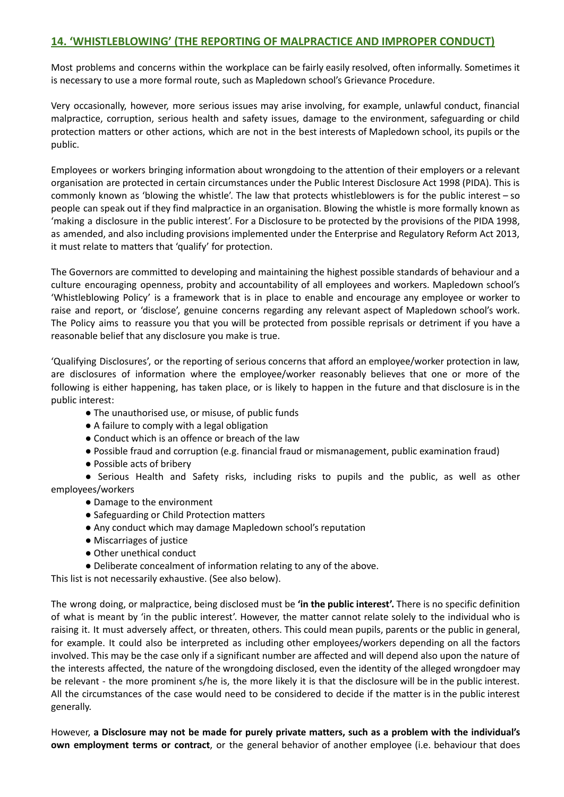## **14. 'WHISTLEBLOWING' (THE REPORTING OF MALPRACTICE AND IMPROPER CONDUCT)**

Most problems and concerns within the workplace can be fairly easily resolved, often informally. Sometimes it is necessary to use a more formal route, such as Mapledown school's Grievance Procedure.

Very occasionally, however, more serious issues may arise involving, for example, unlawful conduct, financial malpractice, corruption, serious health and safety issues, damage to the environment, safeguarding or child protection matters or other actions, which are not in the best interests of Mapledown school, its pupils or the public.

Employees or workers bringing information about wrongdoing to the attention of their employers or a relevant organisation are protected in certain circumstances under the Public Interest Disclosure Act 1998 (PIDA). This is commonly known as 'blowing the whistle'. The law that protects whistleblowers is for the public interest – so people can speak out if they find malpractice in an organisation. Blowing the whistle is more formally known as 'making a disclosure in the public interest'. For a Disclosure to be protected by the provisions of the PIDA 1998, as amended, and also including provisions implemented under the Enterprise and Regulatory Reform Act 2013, it must relate to matters that 'qualify' for protection.

The Governors are committed to developing and maintaining the highest possible standards of behaviour and a culture encouraging openness, probity and accountability of all employees and workers. Mapledown school's 'Whistleblowing Policy' is a framework that is in place to enable and encourage any employee or worker to raise and report, or 'disclose', genuine concerns regarding any relevant aspect of Mapledown school's work. The Policy aims to reassure you that you will be protected from possible reprisals or detriment if you have a reasonable belief that any disclosure you make is true.

'Qualifying Disclosures', or the reporting of serious concerns that afford an employee/worker protection in law, are disclosures of information where the employee/worker reasonably believes that one or more of the following is either happening, has taken place, or is likely to happen in the future and that disclosure is in the public interest:

- The unauthorised use, or misuse, of public funds
- A failure to comply with a legal obligation
- Conduct which is an offence or breach of the law
- Possible fraud and corruption (e.g. financial fraud or mismanagement, public examination fraud)
- Possible acts of bribery

● Serious Health and Safety risks, including risks to pupils and the public, as well as other employees/workers

- Damage to the environment
- Safeguarding or Child Protection matters
- Any conduct which may damage Mapledown school's reputation
- Miscarriages of justice
- Other unethical conduct
- Deliberate concealment of information relating to any of the above.

This list is not necessarily exhaustive. (See also below).

The wrong doing, or malpractice, being disclosed must be **'in the public interest'.** There is no specific definition of what is meant by 'in the public interest'. However, the matter cannot relate solely to the individual who is raising it. It must adversely affect, or threaten, others. This could mean pupils, parents or the public in general, for example. It could also be interpreted as including other employees/workers depending on all the factors involved. This may be the case only if a significant number are affected and will depend also upon the nature of the interests affected, the nature of the wrongdoing disclosed, even the identity of the alleged wrongdoer may be relevant - the more prominent s/he is, the more likely it is that the disclosure will be in the public interest. All the circumstances of the case would need to be considered to decide if the matter is in the public interest generally.

However, **a Disclosure may not be made for purely private matters, such as a problem with the individual's own employment terms or contract**, or the general behavior of another employee (i.e. behaviour that does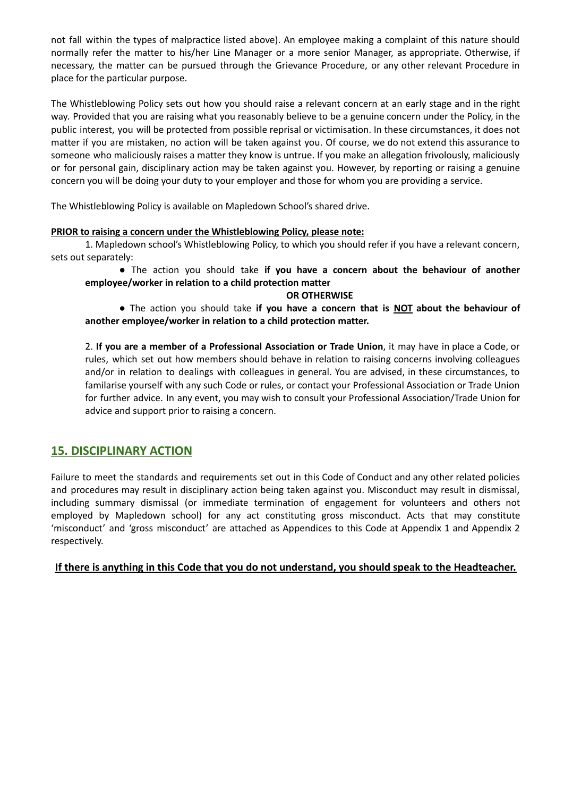not fall within the types of malpractice listed above). An employee making a complaint of this nature should normally refer the matter to his/her Line Manager or a more senior Manager, as appropriate. Otherwise, if necessary, the matter can be pursued through the Grievance Procedure, or any other relevant Procedure in place for the particular purpose.

The Whistleblowing Policy sets out how you should raise a relevant concern at an early stage and in the right way. Provided that you are raising what you reasonably believe to be a genuine concern under the Policy, in the public interest, you will be protected from possible reprisal or victimisation. In these circumstances, it does not matter if you are mistaken, no action will be taken against you. Of course, we do not extend this assurance to someone who maliciously raises a matter they know is untrue. If you make an allegation frivolously, maliciously or for personal gain, disciplinary action may be taken against you. However, by reporting or raising a genuine concern you will be doing your duty to your employer and those for whom you are providing a service.

The Whistleblowing Policy is available on Mapledown School's shared drive.

#### **PRIOR to raising a concern under the Whistleblowing Policy, please note:**

1. Mapledown school's Whistleblowing Policy, to which you should refer if you have a relevant concern, sets out separately:

● The action you should take **if you have a concern about the behaviour of another employee/worker in relation to a child protection matter**

#### **OR OTHERWISE**

● The action you should take **if you have a concern that is NOT about the behaviour of another employee/worker in relation to a child protection matter.**

2. **If you are a member of a Professional Association or Trade Union**, it may have in place a Code, or rules, which set out how members should behave in relation to raising concerns involving colleagues and/or in relation to dealings with colleagues in general. You are advised, in these circumstances, to familarise yourself with any such Code or rules, or contact your Professional Association or Trade Union for further advice. In any event, you may wish to consult your Professional Association/Trade Union for advice and support prior to raising a concern.

## **15. DISCIPLINARY ACTION**

Failure to meet the standards and requirements set out in this Code of Conduct and any other related policies and procedures may result in disciplinary action being taken against you. Misconduct may result in dismissal, including summary dismissal (or immediate termination of engagement for volunteers and others not employed by Mapledown school) for any act constituting gross misconduct. Acts that may constitute 'misconduct' and 'gross misconduct' are attached as Appendices to this Code at Appendix 1 and Appendix 2 respectively.

## **If there is anything in this Code that you do not understand, you should speak to the Headteacher.**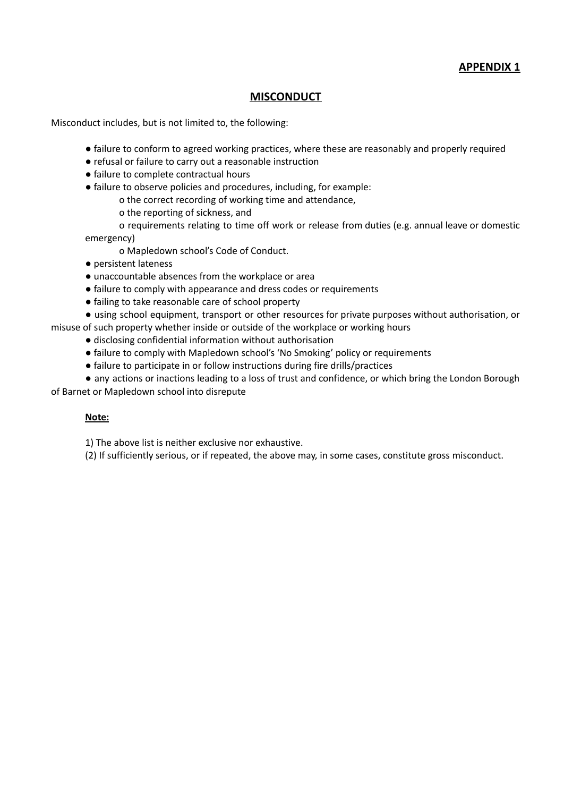**APPENDIX 1**

## **MISCONDUCT**

Misconduct includes, but is not limited to, the following:

- failure to conform to agreed working practices, where these are reasonably and properly required
- refusal or failure to carry out a reasonable instruction
- failure to complete contractual hours
- failure to observe policies and procedures, including, for example:
	- o the correct recording of working time and attendance,
	- o the reporting of sickness, and
	- o requirements relating to time off work or release from duties (e.g. annual leave or domestic

emergency)

- o Mapledown school's Code of Conduct.
- persistent lateness
- unaccountable absences from the workplace or area
- failure to comply with appearance and dress codes or requirements
- failing to take reasonable care of school property
- using school equipment, transport or other resources for private purposes without authorisation, or misuse of such property whether inside or outside of the workplace or working hours
	- disclosing confidential information without authorisation
	- failure to comply with Mapledown school's 'No Smoking' policy or requirements
	- failure to participate in or follow instructions during fire drills/practices
- any actions or inactions leading to a loss of trust and confidence, or which bring the London Borough of Barnet or Mapledown school into disrepute

#### **Note:**

1) The above list is neither exclusive nor exhaustive.

(2) If sufficiently serious, or if repeated, the above may, in some cases, constitute gross misconduct.